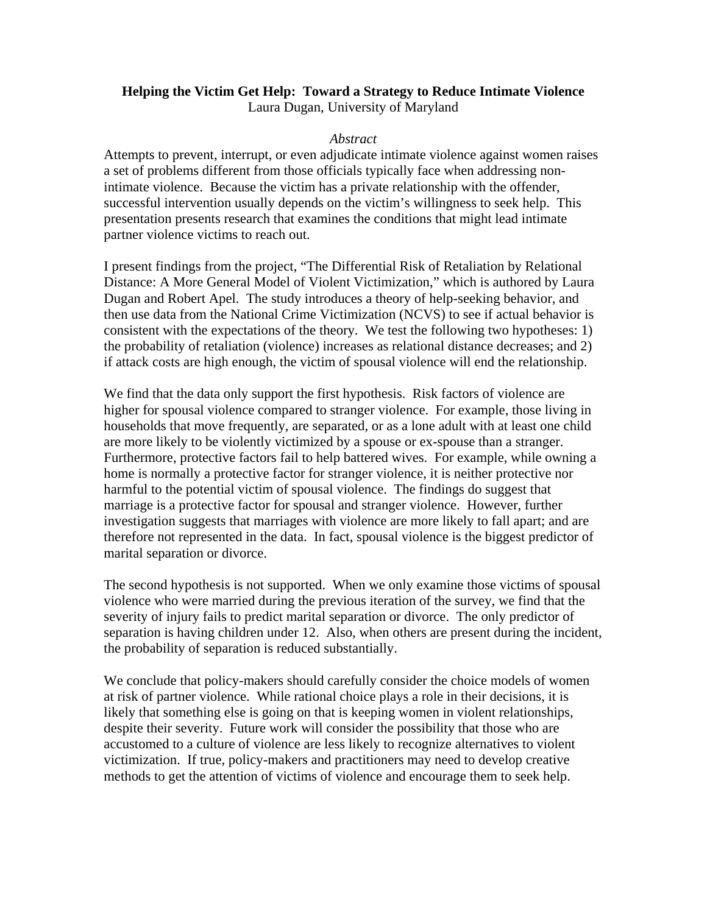#### **Helping the Victim Get Help: Toward a Strategy to Reduce Intimate Violence**  Laura Dugan, University of Maryland

#### *Abstract*

Attempts to prevent, interrupt, or even adjudicate intimate violence against women raises a set of problems different from those officials typically face when addressing nonintimate violence. Because the victim has a private relationship with the offender, successful intervention usually depends on the victim's willingness to seek help. This presentation presents research that examines the conditions that might lead intimate partner violence victims to reach out.

I present findings from the project, "The Differential Risk of Retaliation by Relational Distance: A More General Model of Violent Victimization," which is authored by Laura Dugan and Robert Apel. The study introduces a theory of help-seeking behavior, and then use data from the National Crime Victimization (NCVS) to see if actual behavior is consistent with the expectations of the theory. We test the following two hypotheses: 1) the probability of retaliation (violence) increases as relational distance decreases; and 2) if attack costs are high enough, the victim of spousal violence will end the relationship.

We find that the data only support the first hypothesis. Risk factors of violence are higher for spousal violence compared to stranger violence. For example, those living in households that move frequently, are separated, or as a lone adult with at least one child are more likely to be violently victimized by a spouse or ex-spouse than a stranger. Furthermore, protective factors fail to help battered wives. For example, while owning a home is normally a protective factor for stranger violence, it is neither protective nor harmful to the potential victim of spousal violence. The findings do suggest that marriage is a protective factor for spousal and stranger violence. However, further investigation suggests that marriages with violence are more likely to fall apart; and are therefore not represented in the data. In fact, spousal violence is the biggest predictor of marital separation or divorce.

The second hypothesis is not supported. When we only examine those victims of spousal violence who were married during the previous iteration of the survey, we find that the severity of injury fails to predict marital separation or divorce. The only predictor of separation is having children under 12. Also, when others are present during the incident, the probability of separation is reduced substantially.

We conclude that policy-makers should carefully consider the choice models of women at risk of partner violence. While rational choice plays a role in their decisions, it is likely that something else is going on that is keeping women in violent relationships, despite their severity. Future work will consider the possibility that those who are accustomed to a culture of violence are less likely to recognize alternatives to violent victimization. If true, policy-makers and practitioners may need to develop creative methods to get the attention of victims of violence and encourage them to seek help.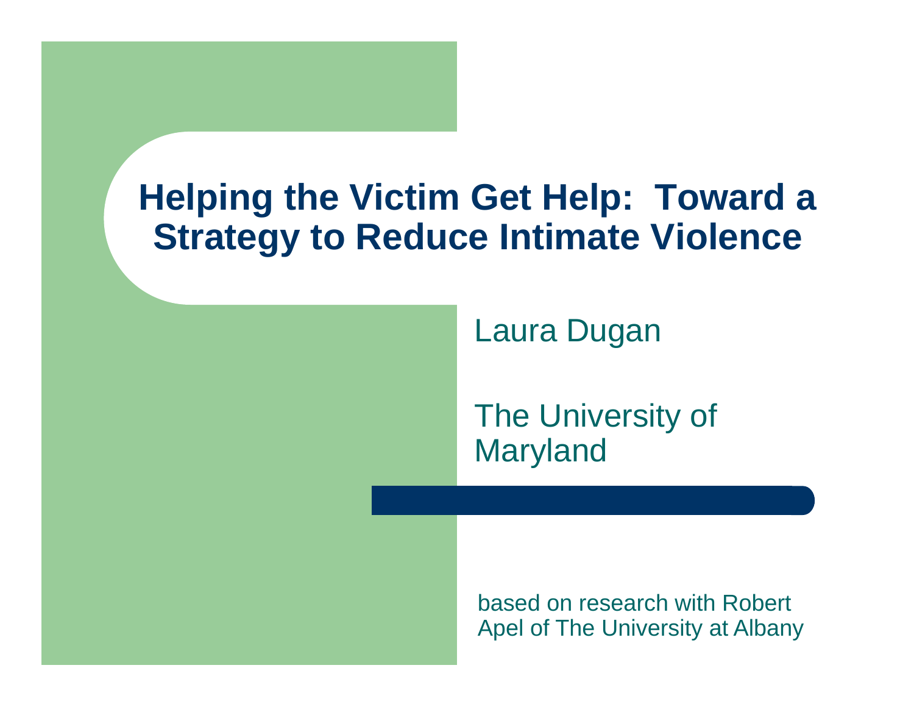#### **Helping the Victim Get Help: Toward a Strategy to Reduce Intimate Violence**

Laura Dugan

The University of Maryland

based on research with Robert Apel of The University at Albany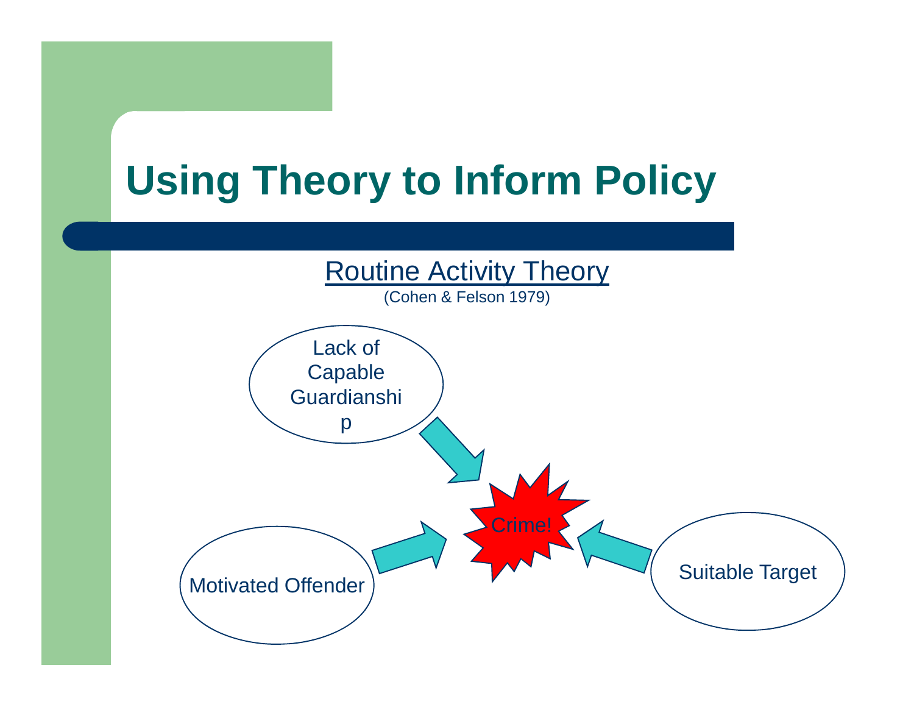## **Using Theory to Inform Policy**

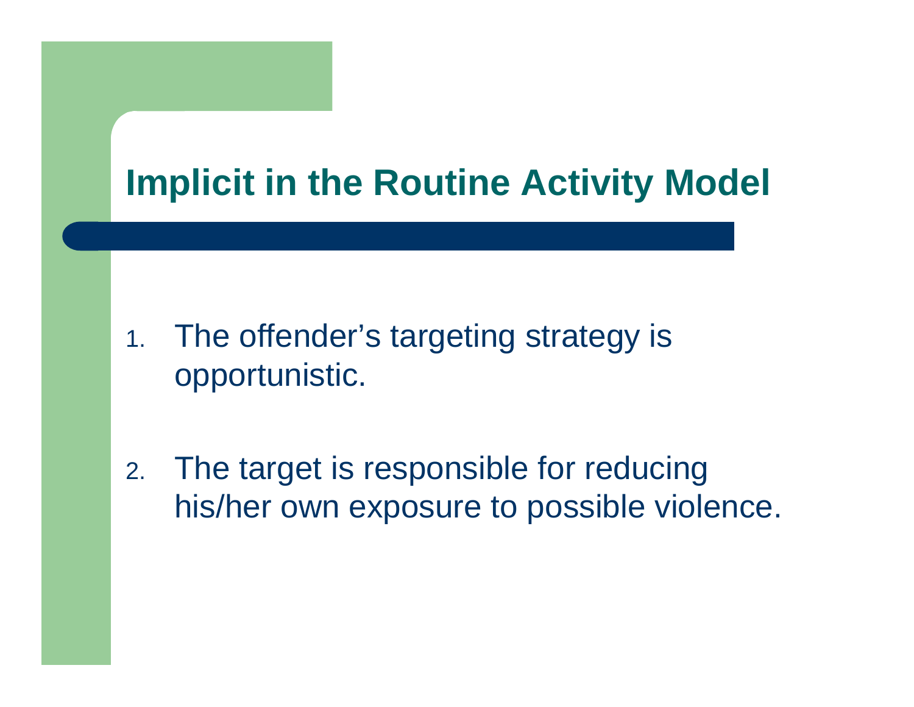### **Implicit in the Routine Activity Model**

- 1. The offender's targeting strategy is opportunistic.
- 2. The target is responsible for reducing his/her own exposure to possible violence.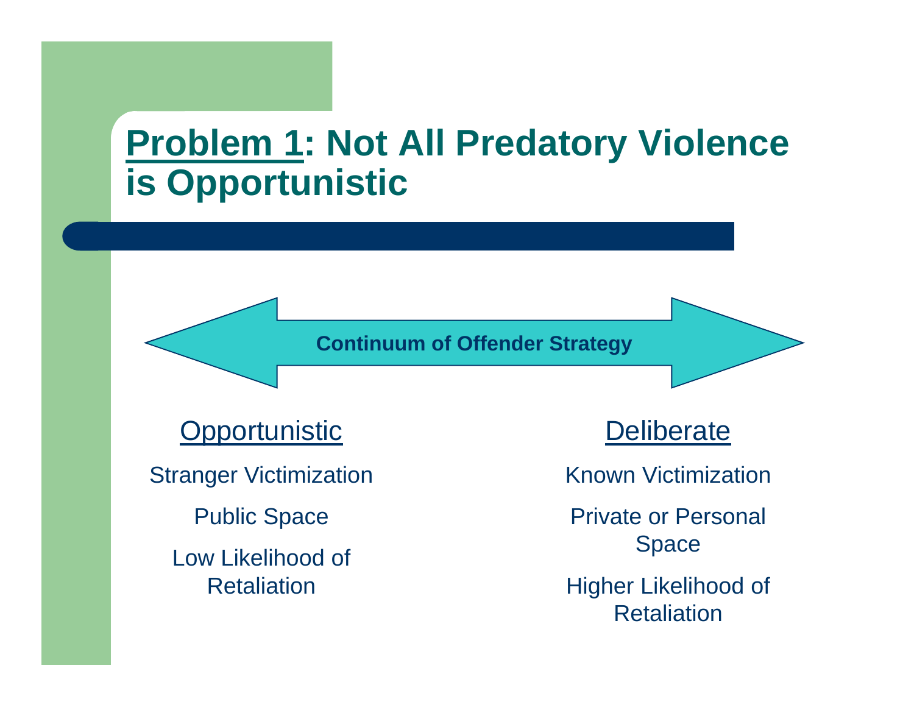#### **Problem 1: Not All Predatory Violence is Opportunistic**

**Continuum of Offender Strategy**

**Opportunistic** 

Stranger Victimization

Public Space

Low Likelihood of **Retaliation** 

Deliberate

Known Victimization

Private or Personal Space

Higher Likelihood of **Retaliation**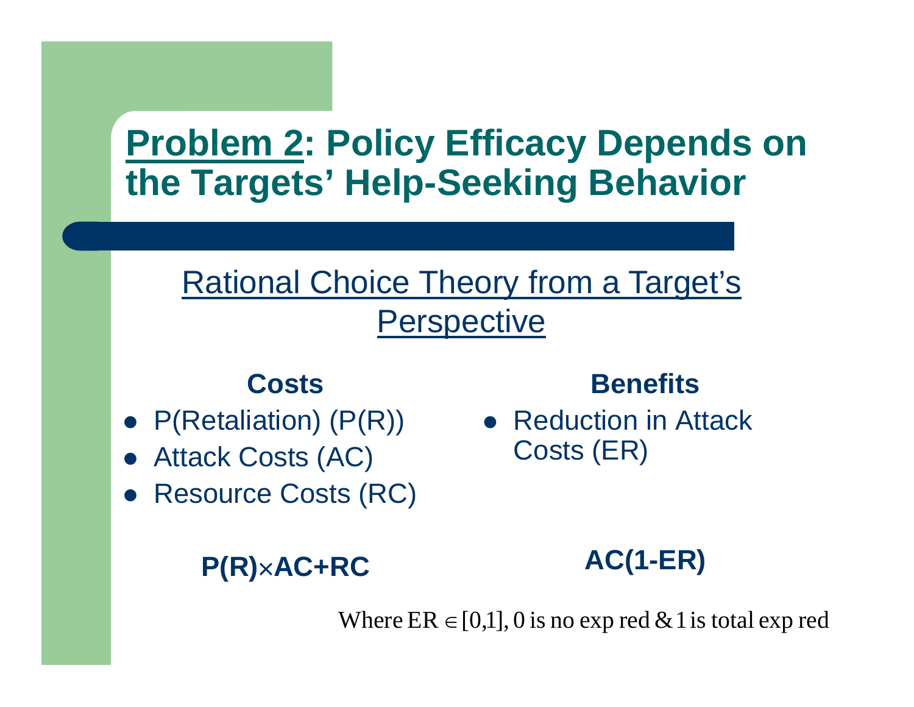#### **Problem 2: Policy Efficacy Depends on the Targets' Help-Seeking Behavior**

#### Rational Choice Theory from a Target's **Perspective**

#### **Costs**

- $P(Retaliation)$   $(P(R))$
- $\bullet$ Attack Costs (AC)
- $\bullet$ Resource Costs (RC)

#### **P(R)**×**AC+RC**

**Benefits**

• Reduction in Attack Costs (ER)

**AC(1-ER)**

Where  $ER \in [0,1], 0$  is no exp red & 1 is total exp red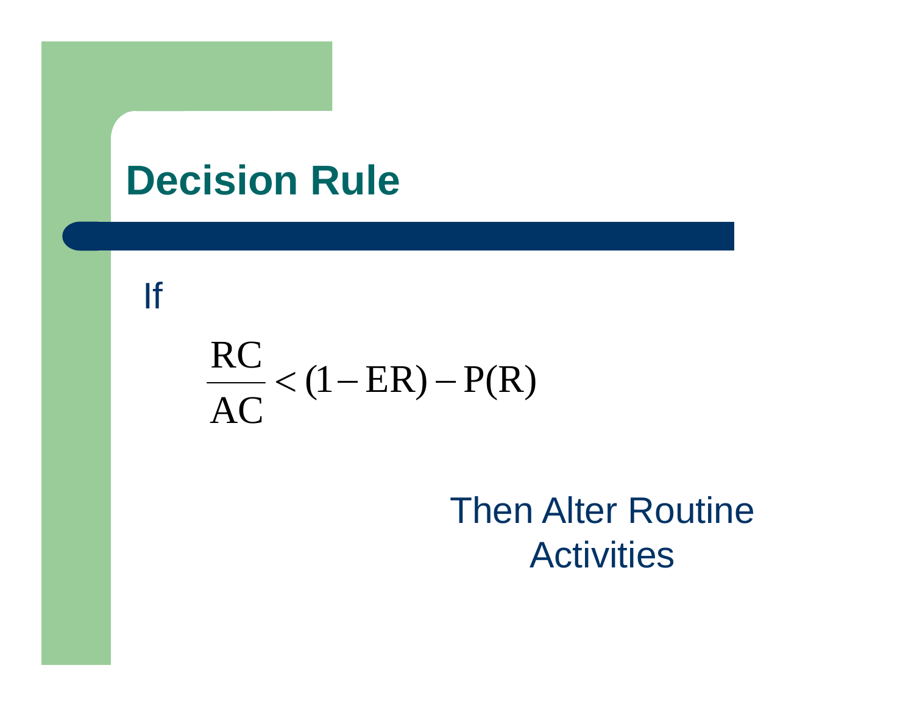## **Decision Rule**

#### If

# $\frac{RC}{AC}$  < (1 – ER) – P(R)

### Then Alter Routine **Activities**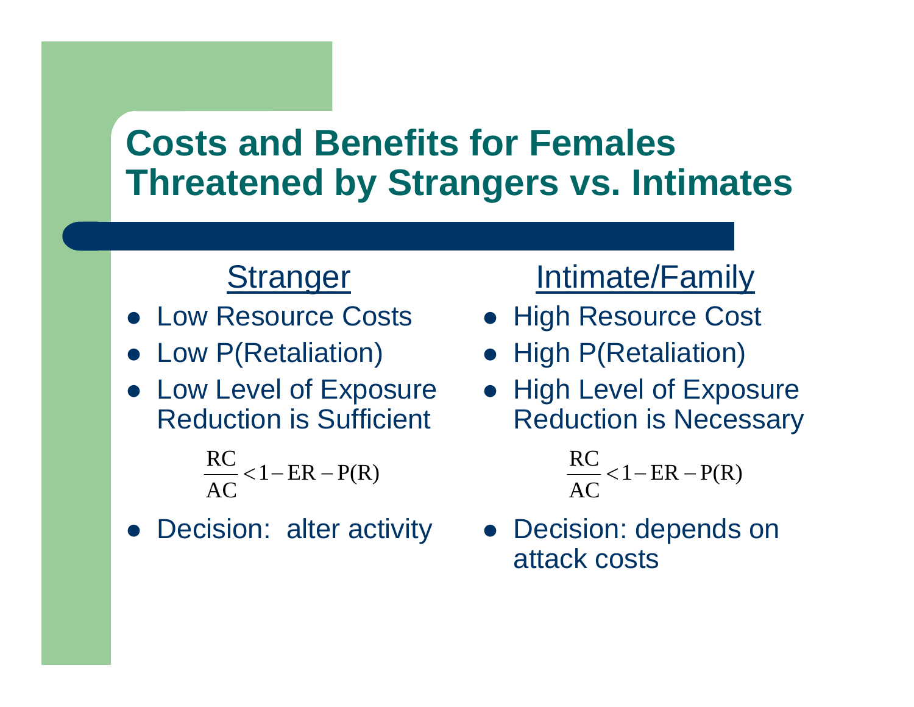#### **Costs and Benefits for Females Threatened by Strangers vs. Intimates**

#### **Stranger**

- **Low Resource Costs**
- $\bullet$ Low P(Retaliation)
- Low Level of Exposure Reduction is Sufficient

$$
\frac{RC}{AC} < 1 - ER - P(R)
$$

• Decision: alter activity

#### Intimate/Family

- **High Resource Cost**
- High P(Retaliation)
- High Level of Exposure Reduction is Necessary

 $\frac{RC}{AC}$  < 1 – ER – P(R)

 $\bullet$  Decision: depends on attack costs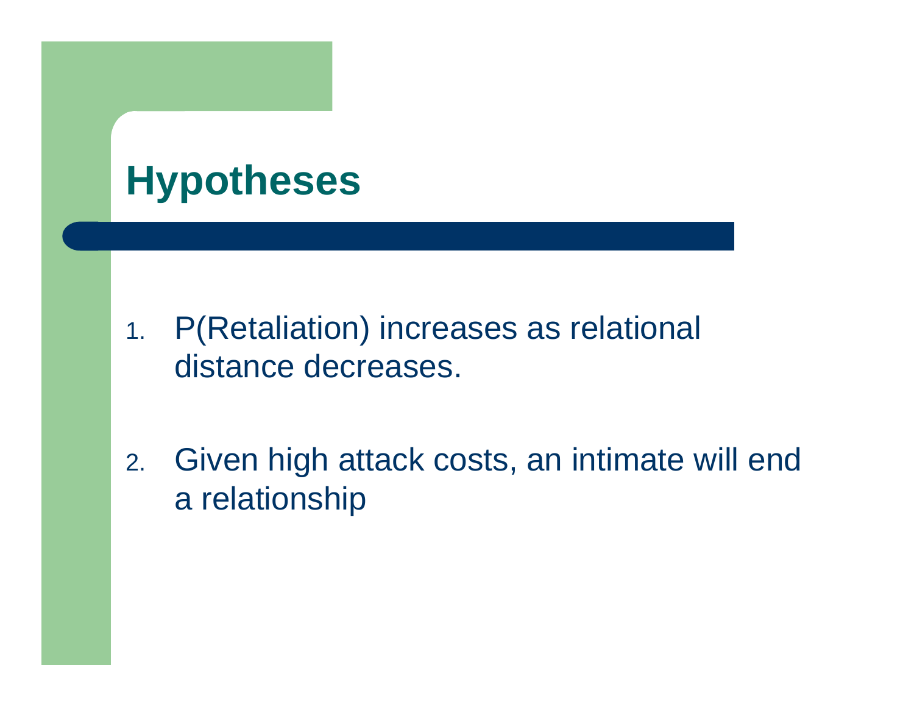## **Hypotheses**

- 1. P(Retaliation) increases as relational distance decreases.
- 2. Given high attack costs, an intimate will end a relationship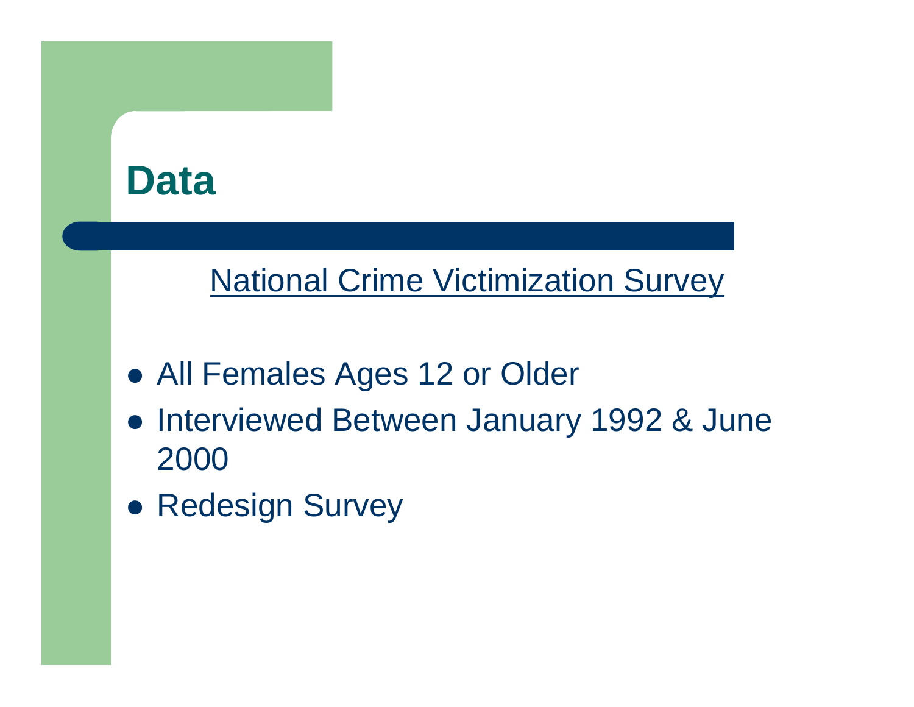

#### National Crime Victimization Survey

- All Females Ages 12 or Older
- **Interviewed Between January 1992 & June** 2000
- Redesign Survey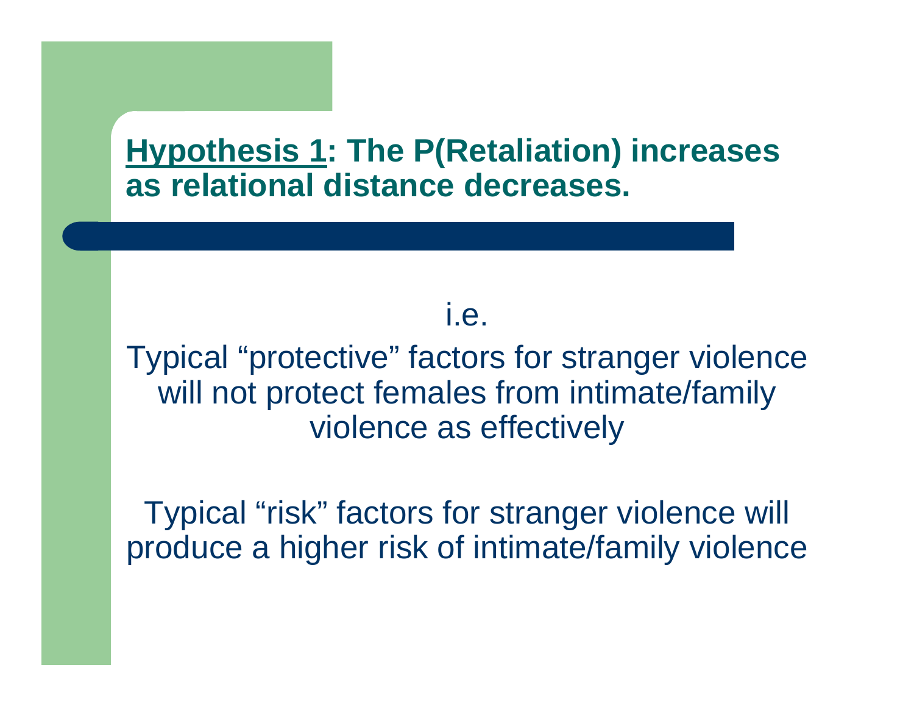#### **Hypothesis 1: The P(Retaliation) increases as relational distance decreases.**

i.e.

Typical "protective" factors for stranger violence will not protect females from intimate/family violence as effectively

Typical "risk" factors for stranger violence will produce a higher risk of intimate/family violence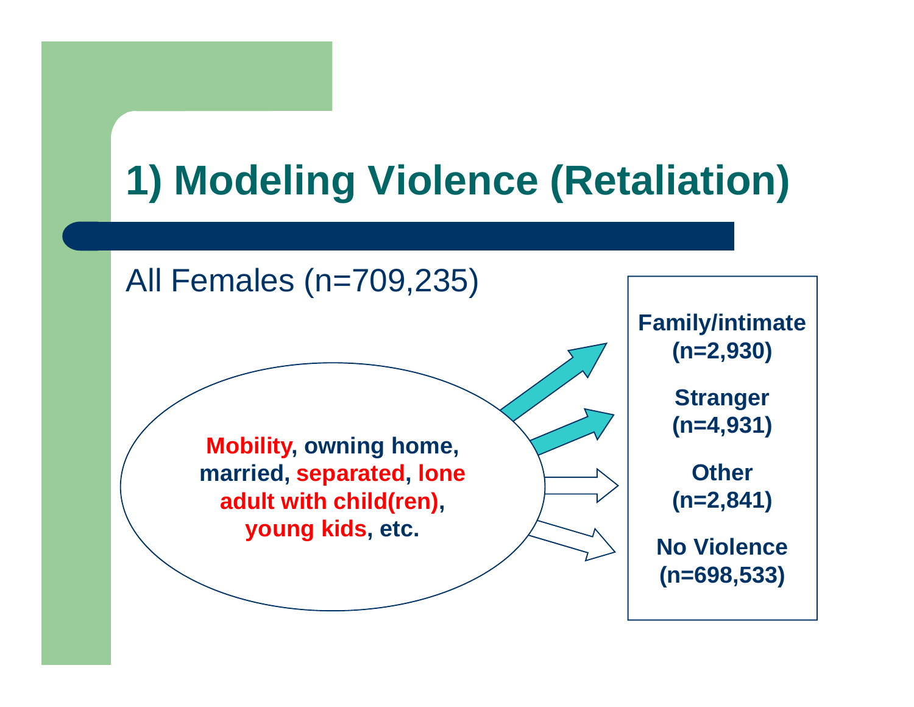# **1) Modeling Violence (Retaliation)**

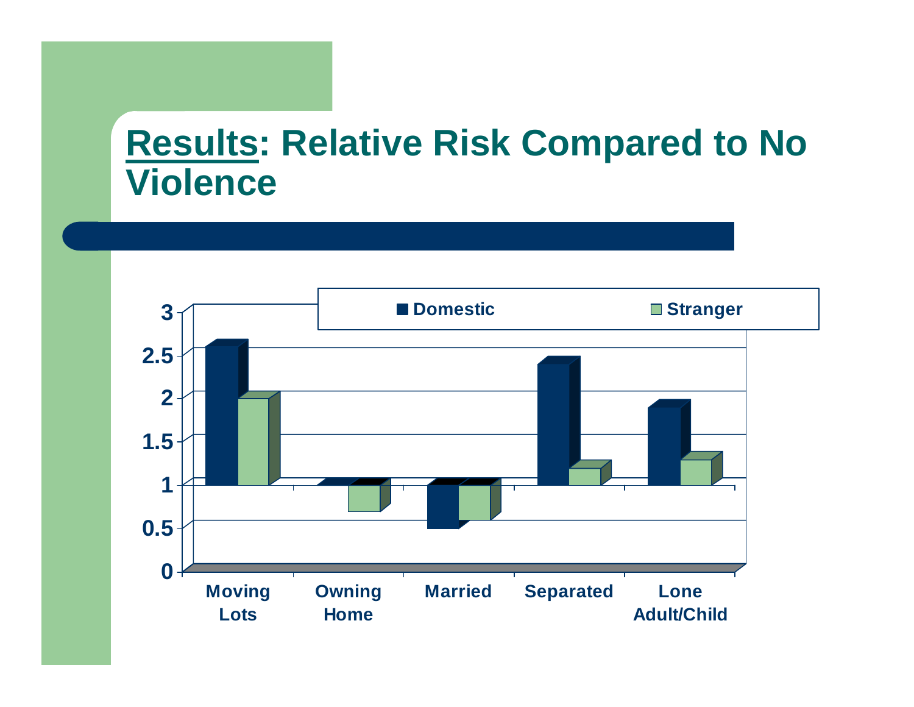#### **Results: Relative Risk Compared to No Violence**

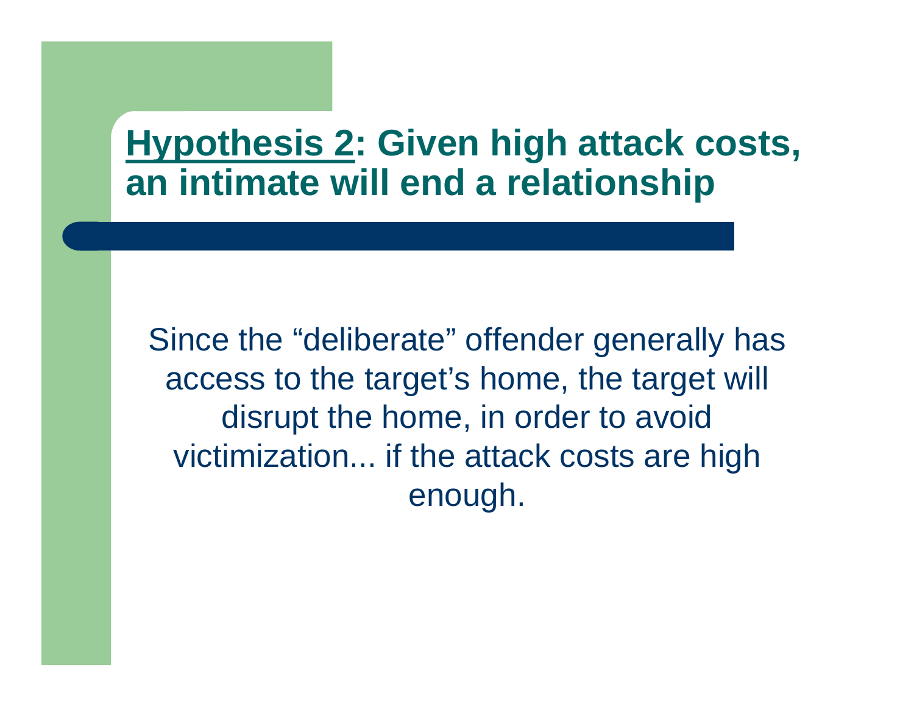#### **Hypothesis 2: Given high attack costs, an intimate will end a relationship**

Since the "deliberate" offender generally has access to the target's home, the target will disrupt the home, in order to avoid victimization... if the attack costs are high enough.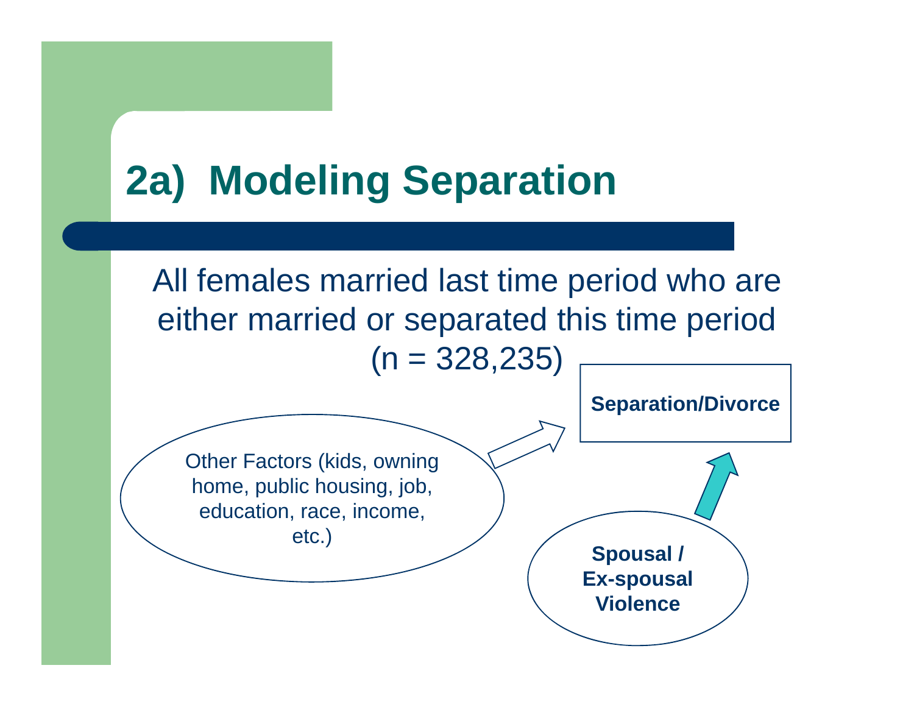## **2a) Modeling Separation**

All females married last time period who are either married or separated this time period  $(n = 328, 235)$ 

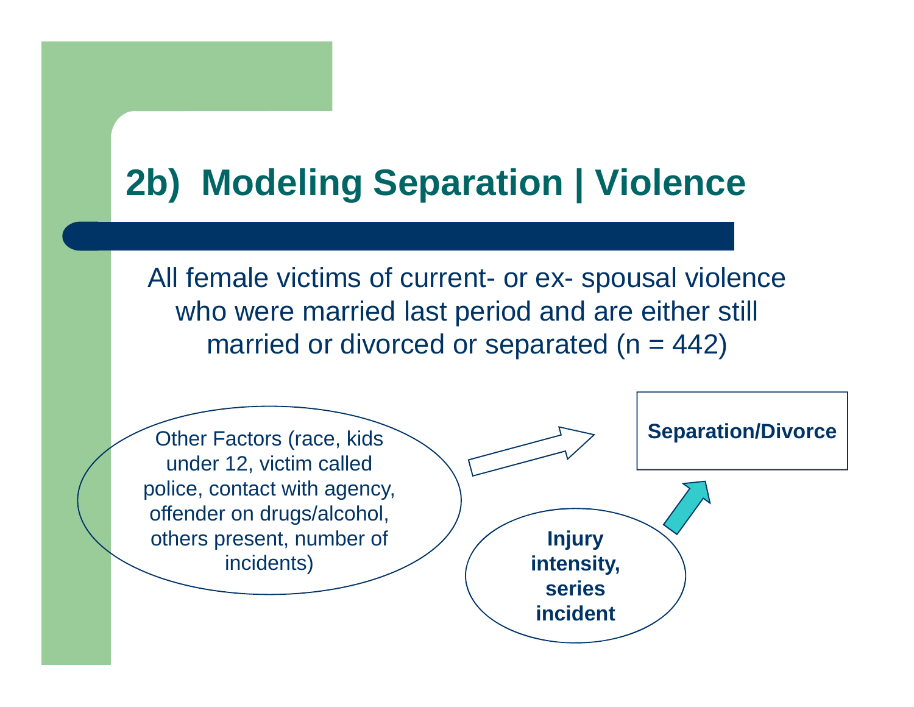## **2b) Modeling Separation | Violence**

All female victims of current- or ex- spousal violence who were married last period and are either still married or divorced or separated  $(n = 442)$ 

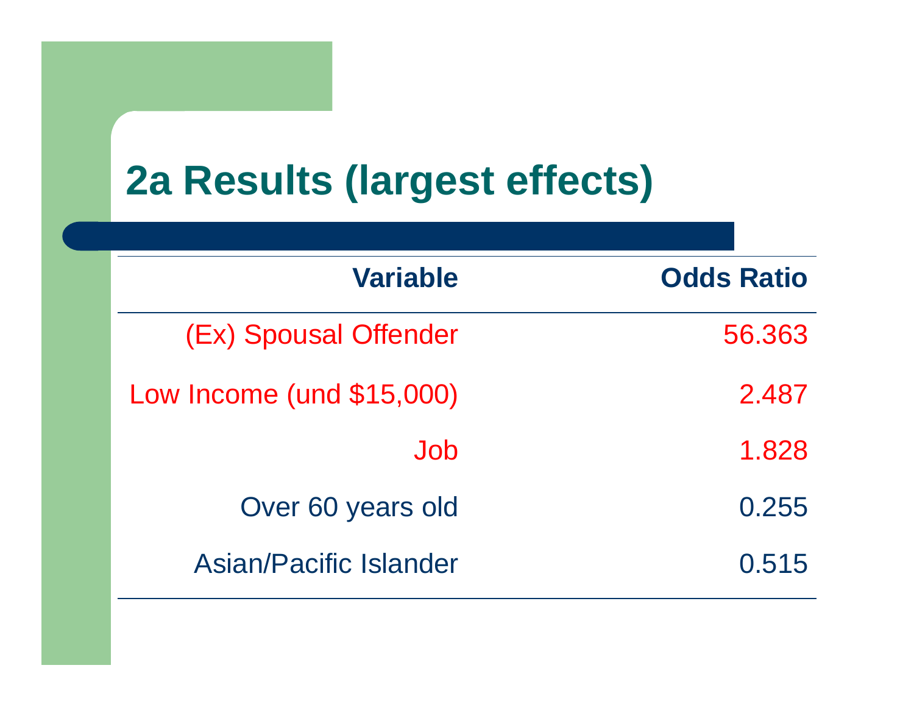## **2a Results (largest effects)**

| <b>Variable</b>           | <b>Odds Ratio</b> |
|---------------------------|-------------------|
| (Ex) Spousal Offender     | 56.363            |
| Low Income (und \$15,000) | 2.487             |
| Job                       | 1.828             |
| Over 60 years old         | 0.255             |
| Asian/Pacific Islander    | 0.515             |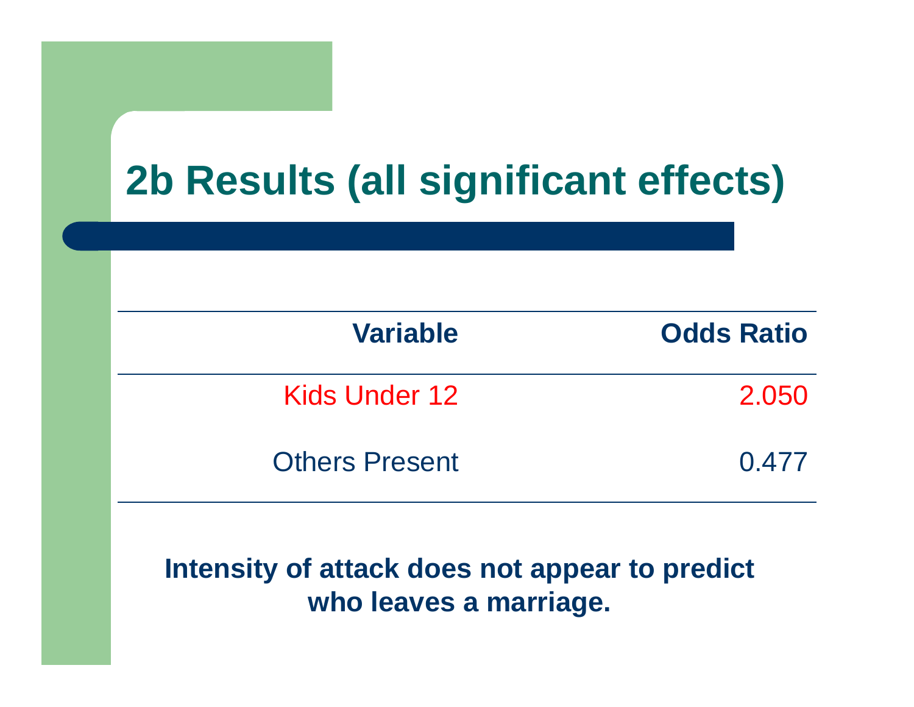## **2b Results (all significant effects)**

| <b>Variable</b>       | <b>Odds Ratio</b> |
|-----------------------|-------------------|
| Kids Under 12         | 2.050             |
| <b>Others Present</b> | 0.477             |

#### **Intensity of attack does not appear to predict who leaves a marriage.**